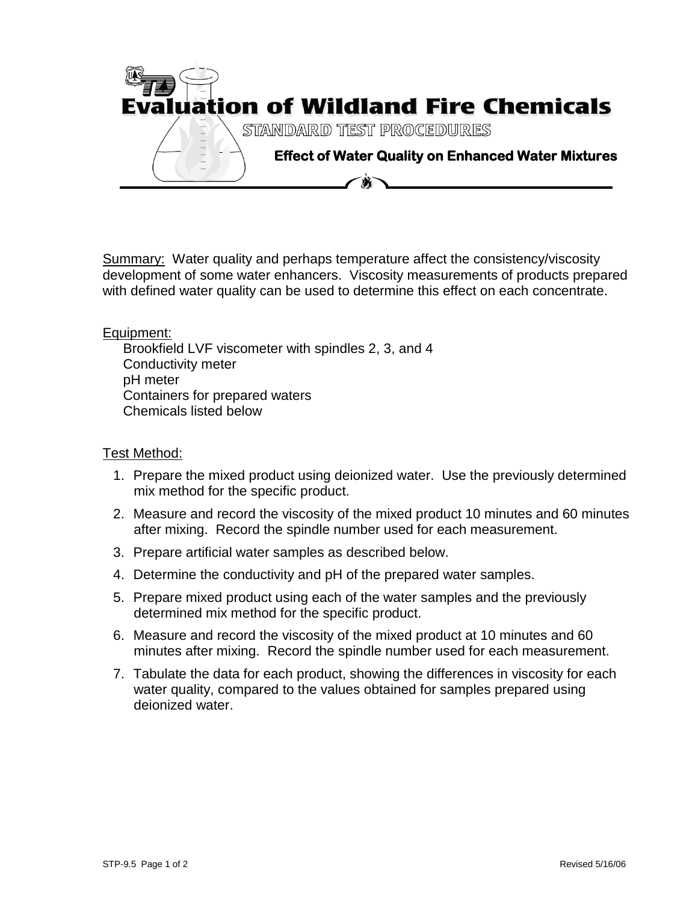

Summary: Water quality and perhaps temperature affect the consistency/viscosity development of some water enhancers. Viscosity measurements of products prepared with defined water quality can be used to determine this effect on each concentrate.

## Equipment:

Brookfield LVF viscometer with spindles 2, 3, and 4 Conductivity meter pH meter Containers for prepared waters Chemicals listed below

## Test Method:

- 1. Prepare the mixed product using deionized water. Use the previously determined mix method for the specific product.
- 2. Measure and record the viscosity of the mixed product 10 minutes and 60 minutes after mixing. Record the spindle number used for each measurement.
- 3. Prepare artificial water samples as described below.
- 4. Determine the conductivity and pH of the prepared water samples.
- 5. Prepare mixed product using each of the water samples and the previously determined mix method for the specific product.
- 6. Measure and record the viscosity of the mixed product at 10 minutes and 60 minutes after mixing. Record the spindle number used for each measurement.
- 7. Tabulate the data for each product, showing the differences in viscosity for each water quality, compared to the values obtained for samples prepared using deionized water.